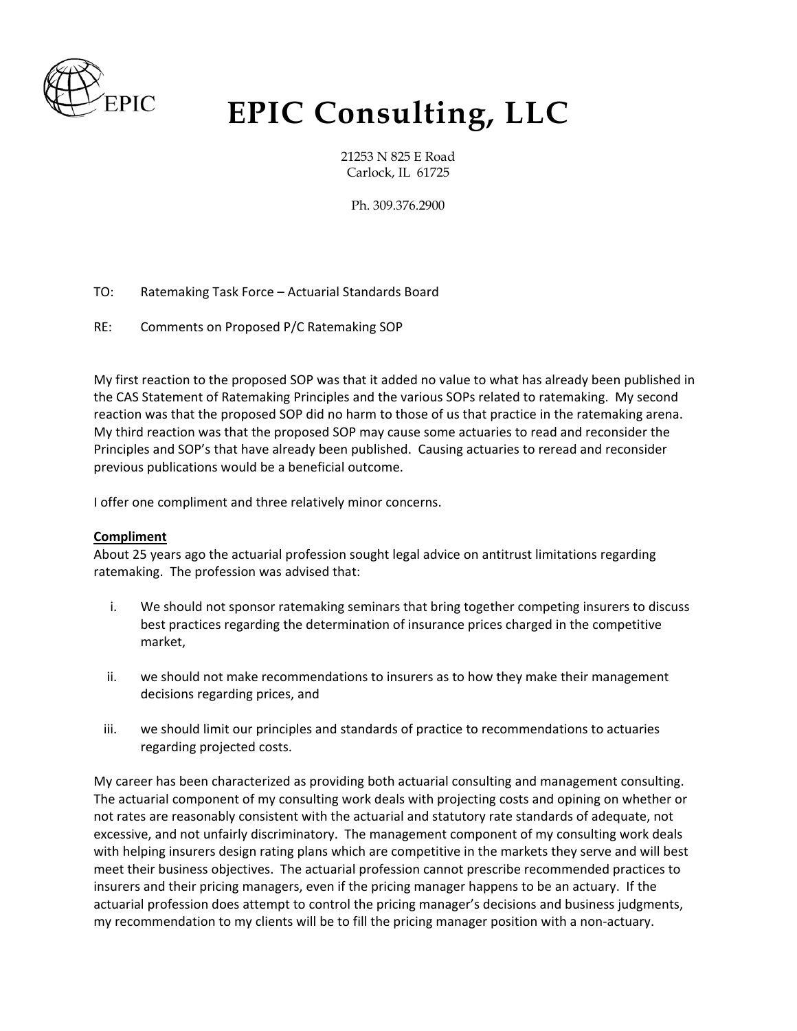

## **EPIC Consulting, LLC**

21253 N 825 E Road Carlock, IL 61725

Ph. 309.376.2900

- TO: Ratemaking Task Force Actuarial Standards Board
- RE: Comments on Proposed P/C Ratemaking SOP

My first reaction to the proposed SOP was that it added no value to what has already been published in the CAS Statement of Ratemaking Principles and the various SOPs related to ratemaking. My second reaction was that the proposed SOP did no harm to those of us that practice in the ratemaking arena. My third reaction was that the proposed SOP may cause some actuaries to read and reconsider the Principles and SOP's that have already been published. Causing actuaries to reread and reconsider previous publications would be a beneficial outcome.

I offer one compliment and three relatively minor concerns.

## **Compliment**

About 25 years ago the actuarial profession sought legal advice on antitrust limitations regarding ratemaking. The profession was advised that:

- i. We should not sponsor ratemaking seminars that bring together competing insurers to discuss best practices regarding the determination of insurance prices charged in the competitive market,
- ii. we should not make recommendations to insurers as to how they make their management decisions regarding prices, and
- iii. we should limit our principles and standards of practice to recommendations to actuaries regarding projected costs.

My career has been characterized as providing both actuarial consulting and management consulting. The actuarial component of my consulting work deals with projecting costs and opining on whether or not rates are reasonably consistent with the actuarial and statutory rate standards of adequate, not excessive, and not unfairly discriminatory. The management component of my consulting work deals with helping insurers design rating plans which are competitive in the markets they serve and will best meet their business objectives. The actuarial profession cannot prescribe recommended practices to insurers and their pricing managers, even if the pricing manager happens to be an actuary. If the actuarial profession does attempt to control the pricing manager's decisions and business judgments, my recommendation to my clients will be to fill the pricing manager position with a non-actuary.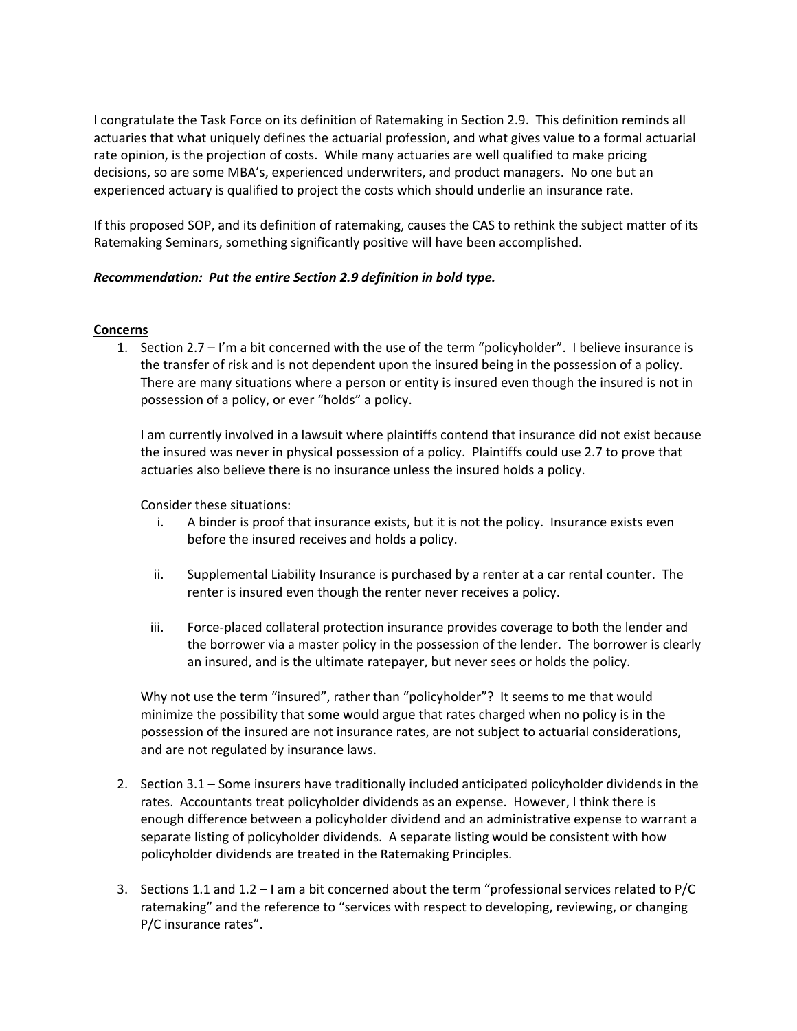I congratulate the Task Force on its definition of Ratemaking in Section 2.9. This definition reminds all actuaries that what uniquely defines the actuarial profession, and what gives value to a formal actuarial rate opinion, is the projection of costs. While many actuaries are well qualified to make pricing decisions, so are some MBA's, experienced underwriters, and product managers. No one but an experienced actuary is qualified to project the costs which should underlie an insurance rate.

If this proposed SOP, and its definition of ratemaking, causes the CAS to rethink the subject matter of its Ratemaking Seminars, something significantly positive will have been accomplished.

## *Recommendation: Put the entire Section 2.9 definition in bold type.*

## **Concerns**

1. Section 2.7 – I'm a bit concerned with the use of the term "policyholder". I believe insurance is the transfer of risk and is not dependent upon the insured being in the possession of a policy. There are many situations where a person or entity is insured even though the insured is not in possession of a policy, or ever "holds" a policy.

I am currently involved in a lawsuit where plaintiffs contend that insurance did not exist because the insured was never in physical possession of a policy. Plaintiffs could use 2.7 to prove that actuaries also believe there is no insurance unless the insured holds a policy.

Consider these situations:

- i. A binder is proof that insurance exists, but it is not the policy. Insurance exists even before the insured receives and holds a policy.
- ii. Supplemental Liability Insurance is purchased by a renter at a car rental counter. The renter is insured even though the renter never receives a policy.
- iii. Force-placed collateral protection insurance provides coverage to both the lender and the borrower via a master policy in the possession of the lender. The borrower is clearly an insured, and is the ultimate ratepayer, but never sees or holds the policy.

Why not use the term "insured", rather than "policyholder"? It seems to me that would minimize the possibility that some would argue that rates charged when no policy is in the possession of the insured are not insurance rates, are not subject to actuarial considerations, and are not regulated by insurance laws.

- 2. Section 3.1 Some insurers have traditionally included anticipated policyholder dividends in the rates. Accountants treat policyholder dividends as an expense. However, I think there is enough difference between a policyholder dividend and an administrative expense to warrant a separate listing of policyholder dividends. A separate listing would be consistent with how policyholder dividends are treated in the Ratemaking Principles.
- 3. Sections 1.1 and 1.2 I am a bit concerned about the term "professional services related to P/C ratemaking" and the reference to "services with respect to developing, reviewing, or changing P/C insurance rates".